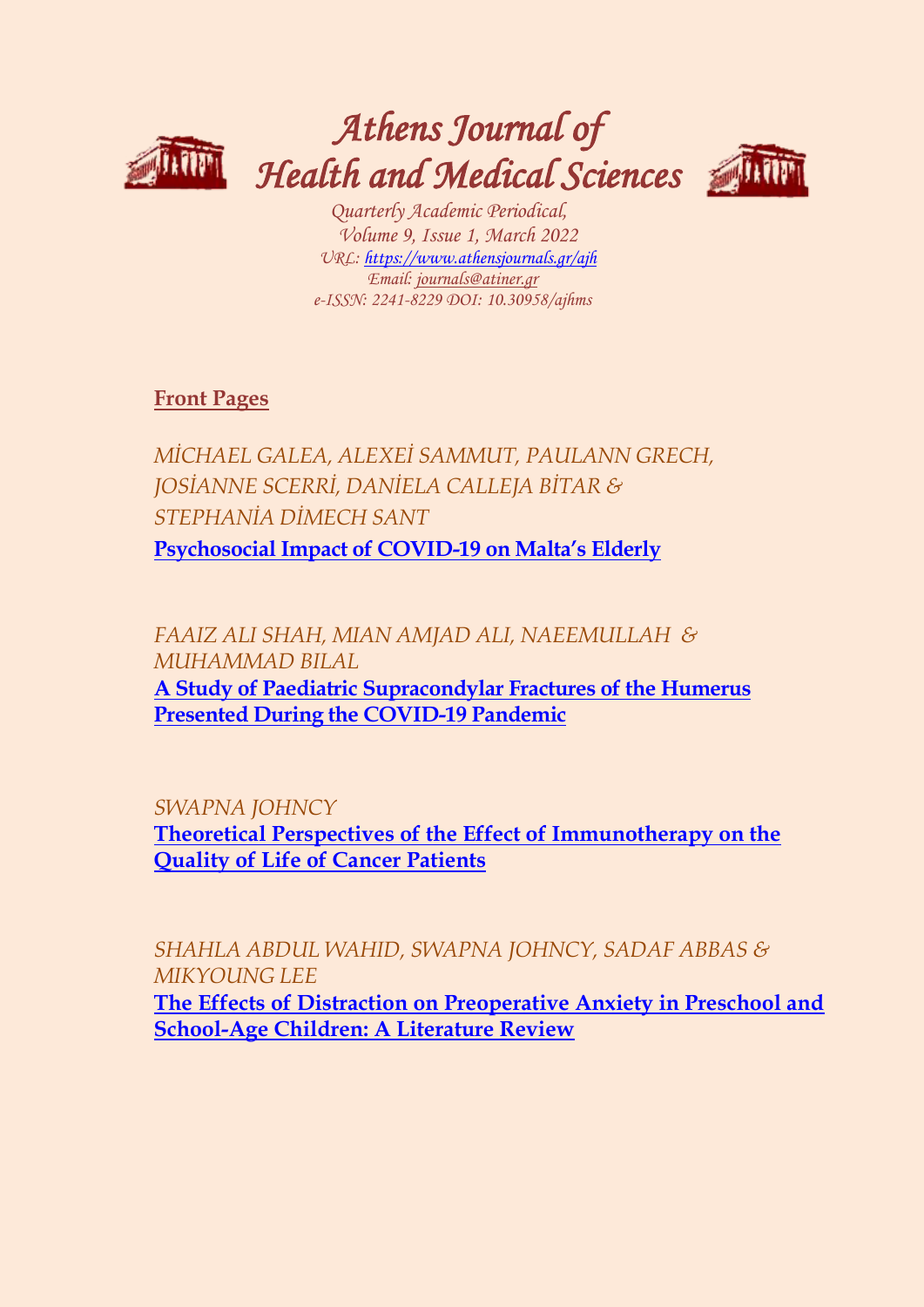

# *Athens Journal of Health and Medical Sciences*



*Quarterly Academic Periodical, Volume 9, Issue 1, March 2022 URL: <https://www.athensjournals.gr/ajh> Email: [journals@atiner.gr](mailto:journals@atiner.gr) e-ISSN: 2241-8229 DOI: 10.30958/ajhms*

**[Front Pages](https://www.athensjournals.gr/health/Cover-2022-01HEA.pdf)**

*MİCHAEL GALEA, ALEXEİ SAMMUT, PAULANN GRECH, JOSİANNE SCERRİ, DANİELA CALLEJA BİTAR & STEPHANİA DİMECH SANT* **[Psychosocial Impact of COVID-](http://www.athensjournals.gr/health/2022-9-1-1-Galea.pdf)19 on Malta's Elderly**

*FAAIZ ALI SHAH, MIAN AMJAD ALI, NAEEMULLAH & MUHAMMAD BILAL* 

**[A Study of Paediatric Supracondylar Fractures of the Humerus](http://www.athensjournals.gr/health/2022-9-1-2-Shah.pdf)  [Presented During the COVID-19 Pandemic](http://www.athensjournals.gr/health/2022-9-1-2-Shah.pdf)**

*SWAPNA JOHNCY*  **[Theoretical Perspectives of the Effect of Immunotherapy on the](http://www.athensjournals.gr/health/2022-9-1-3-Johncy.pdf)  [Quality of Life of Cancer Patients](http://www.athensjournals.gr/health/2022-9-1-3-Johncy.pdf)**

*SHAHLA ABDUL WAHID, SWAPNA JOHNCY, SADAF ABBAS & MIKYOUNG LEE*

**[The Effects of Distraction on Preoperative Anxiety in Preschool and](http://www.athensjournals.gr/health/2022-9-1-4-Wahid.pdf)  [School-Age Children: A Literature Review](http://www.athensjournals.gr/health/2022-9-1-4-Wahid.pdf)**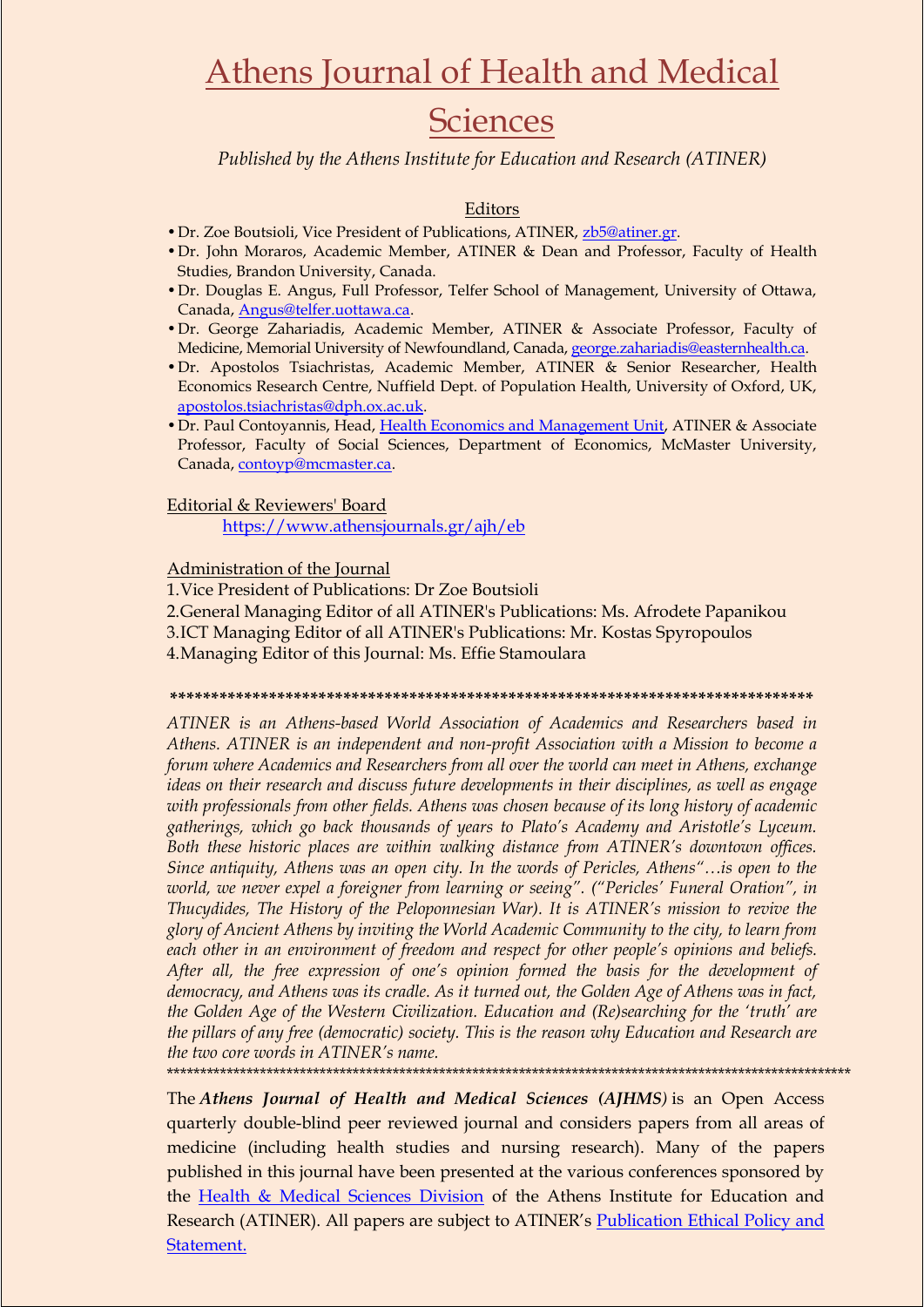## Athens Journal of Health and Medical

## **Sciences**

*Published by the Athens Institute for Education and Research (ATINER)*

### Editors

- •Dr. Zoe Boutsioli, Vice President of Publications, ATINER, [zb5@atiner.gr.](mailto:zb5@atiner.gr)
- •Dr. John Moraros, Academic Member, ATINER & Dean and Professor, Faculty of Health Studies, Brandon University, Canada.
- •Dr. Douglas E. Angus, Full Professor, Telfer School of Management, University of Ottawa, Canada[, Angus@telfer.uottawa.ca.](mailto:Angus@telfer.uottawa.ca)
- •Dr. George Zahariadis, Academic Member, ATINER & Associate Professor, Faculty of Medicine, Memorial University of Newfoundland, Canada[, george.zahariadis@easternhealth.ca.](mailto:george.zahariadis@easternhealth.ca)
- •Dr. Apostolos Tsiachristas, Academic Member, ATINER & Senior Researcher, Health Economics Research Centre, Nuffield Dept. of Population Health, University of Oxford, UK, [apostolos.tsiachristas@dph.ox.ac.uk.](mailto:apostolos.tsiachristas@dph.ox.ac.uk)
- Dr. Paul Contoyannis, Head, [Health Economics and Management Unit,](http://www.atiner.gr/HEALTH-UNIT.htm) ATINER & Associate Professor, Faculty of Social Sciences, Department of Economics, McMaster University, Canada[, contoyp@mcmaster.ca.](mailto:contoyp@mcmaster.ca)

#### Editorial & Reviewers' Board

<https://www.athensjournals.gr/ajh/eb>

### Administration of the Journal

- 1.Vice President of Publications: Dr Zoe Boutsioli
- 2.General Managing Editor of all ATINER's Publications: Ms. Afrodete Papanikou 3.ICT Managing Editor of all ATINER's Publications: Mr. Kostas Spyropoulos

4.Managing Editor of this Journal: Ms. Effie Stamoulara

#### **\*\*\*\*\*\*\*\*\*\*\*\*\*\*\*\*\*\*\*\*\*\*\*\*\*\*\*\*\*\*\*\*\*\*\*\*\*\*\*\*\*\*\*\*\*\*\*\*\*\*\*\*\*\*\*\*\*\*\*\*\*\*\*\*\*\*\*\*\*\*\*\*\*\*\*\*\*\***

*ATINER is an Athens-based World Association of Academics and Researchers based in Athens. ATINER is an independent and non-profit Association with a Mission to become a forum where Academics and Researchers from all over the world can meet in Athens, exchange ideas on their research and discuss future developments in their disciplines, as well as engage with professionals from other fields. Athens was chosen because of its long history of academic gatherings, which go back thousands of years to Plato"s Academy and Aristotle"s Lyceum. Both these historic places are within walking distance from ATINER"s downtown offices. Since antiquity, Athens was an open city. In the words of Pericles, Athens"…is open to the world, we never expel a foreigner from learning or seeing". ("Pericles" Funeral Oration", in Thucydides, The History of the Peloponnesian War). It is ATINER"s mission to revive the glory of Ancient Athens by inviting the World Academic Community to the city, to learn from each other in an environment of freedom and respect for other people"s opinions and beliefs. After all, the free expression of one"s opinion formed the basis for the development of democracy, and Athens was its cradle. As it turned out, the Golden Age of Athens was in fact, the Golden Age of the Western Civilization. Education and (Re)searching for the "truth" are the pillars of any free (democratic) society. This is the reason why Education and Research are the two core words in ATINER"s name.*

\*\*\*\*\*\*\*\*\*\*\*\*\*\*\*\*\*\*\*\*\*\*\*\*\*\*\*\*\*\*\*\*\*\*\*\*\*\*\*\*\*\*\*\*\*\*\*\*\*\*\*\*\*\*\*\*\*\*\*\*\*\*\*\*\*\*\*\*\*\*\*\*\*\*\*\*\*\*\*\*\*\*\*\*\*\*\*\*\*\*\*\*\*\*\*\*\*\*\*\*\*\*\*

The *Athens Journal of Health and Medical Sciences (AJHMS)* is an Open Access quarterly double-blind peer reviewed journal and considers papers from all areas of medicine (including health studies and nursing research). Many of the papers published in this journal have been presented at the various conferences sponsored by the [Health & Medical Sciences Division](http://www.atiner.gr/hsrd.htm) of the Athens Institute for Education and Research (ATINER). All papers are subject to ATINER's Publication [Ethical Policy and](https://www.athensjournals.gr/ethics.pdf)  [Statement.](https://www.athensjournals.gr/ethics.pdf)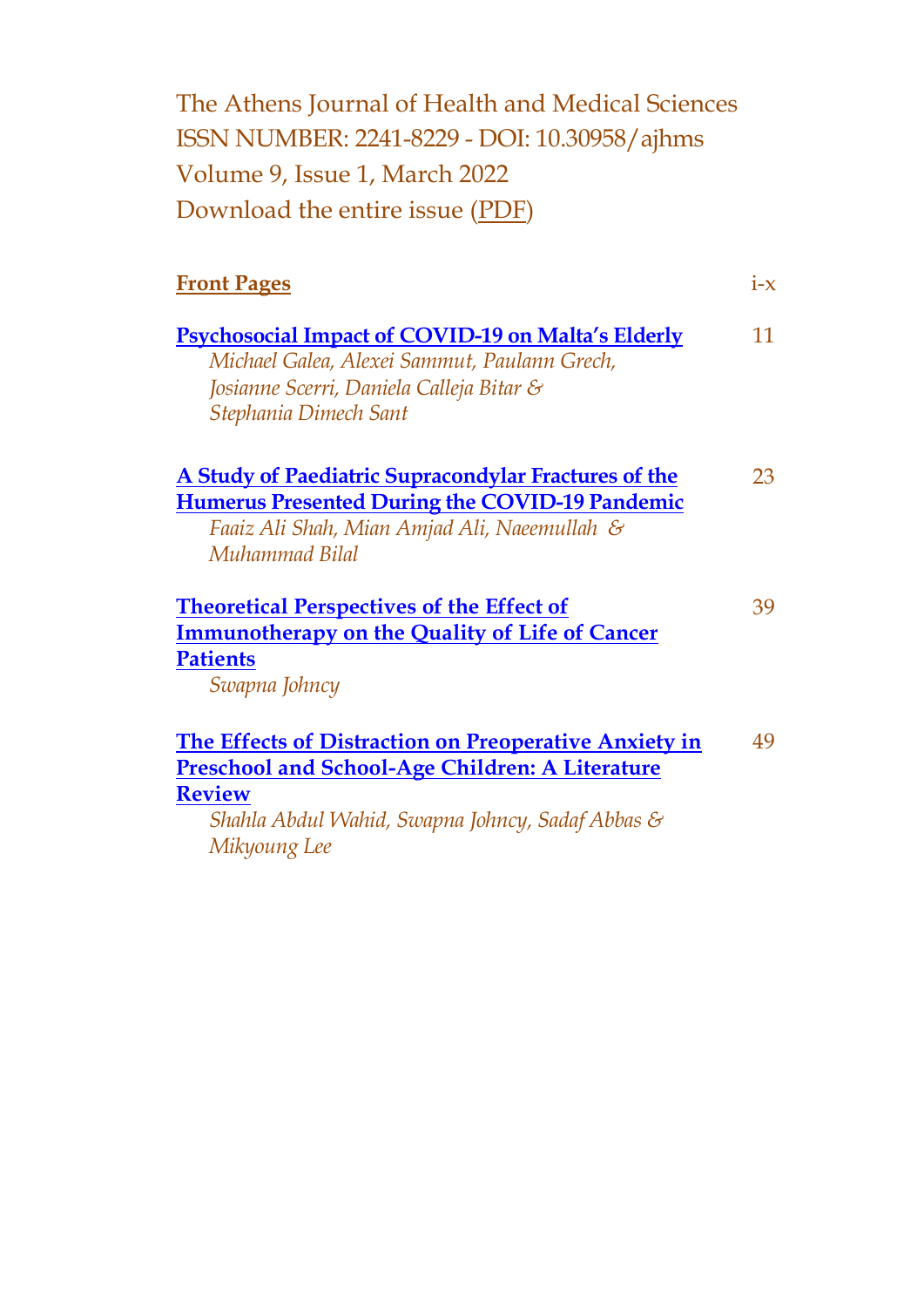The Athens Journal of Health and Medical Sciences ISSN NUMBER: 2241-8229 - DOI: 10.30958/ajhms Volume 9, Issue 1, March 2022 Download the entire issue [\(PDF\)](https://www.athensjournals.gr/health/2022-01HEA.pdf)

| <b>Front Pages</b>                                                                                                                                                                                          | $1-X$ |
|-------------------------------------------------------------------------------------------------------------------------------------------------------------------------------------------------------------|-------|
| <b>Psychosocial Impact of COVID-19 on Malta's Elderly</b><br>Michael Galea, Alexei Sammut, Paulann Grech,<br>Josianne Scerri, Daniela Calleja Bitar &<br>Stephania Dimech Sant                              | 11    |
| A Study of Paediatric Supracondylar Fractures of the<br><b>Humerus Presented During the COVID-19 Pandemic</b><br>Faaiz Ali Shah, Mian Amjad Ali, Naeemullah &<br>Muhammad Bilal                             | 23    |
| <b>Theoretical Perspectives of the Effect of</b><br><b>Immunotherapy on the Quality of Life of Cancer</b><br><b>Patients</b><br>Swapna Johncy                                                               | 39    |
| <b>The Effects of Distraction on Preoperative Anxiety in</b><br><b>Preschool and School-Age Children: A Literature</b><br><b>Review</b><br>Shahla Abdul Wahid, Swapna Johncy, Sadaf Abbas &<br>Mikyoung Lee | 49    |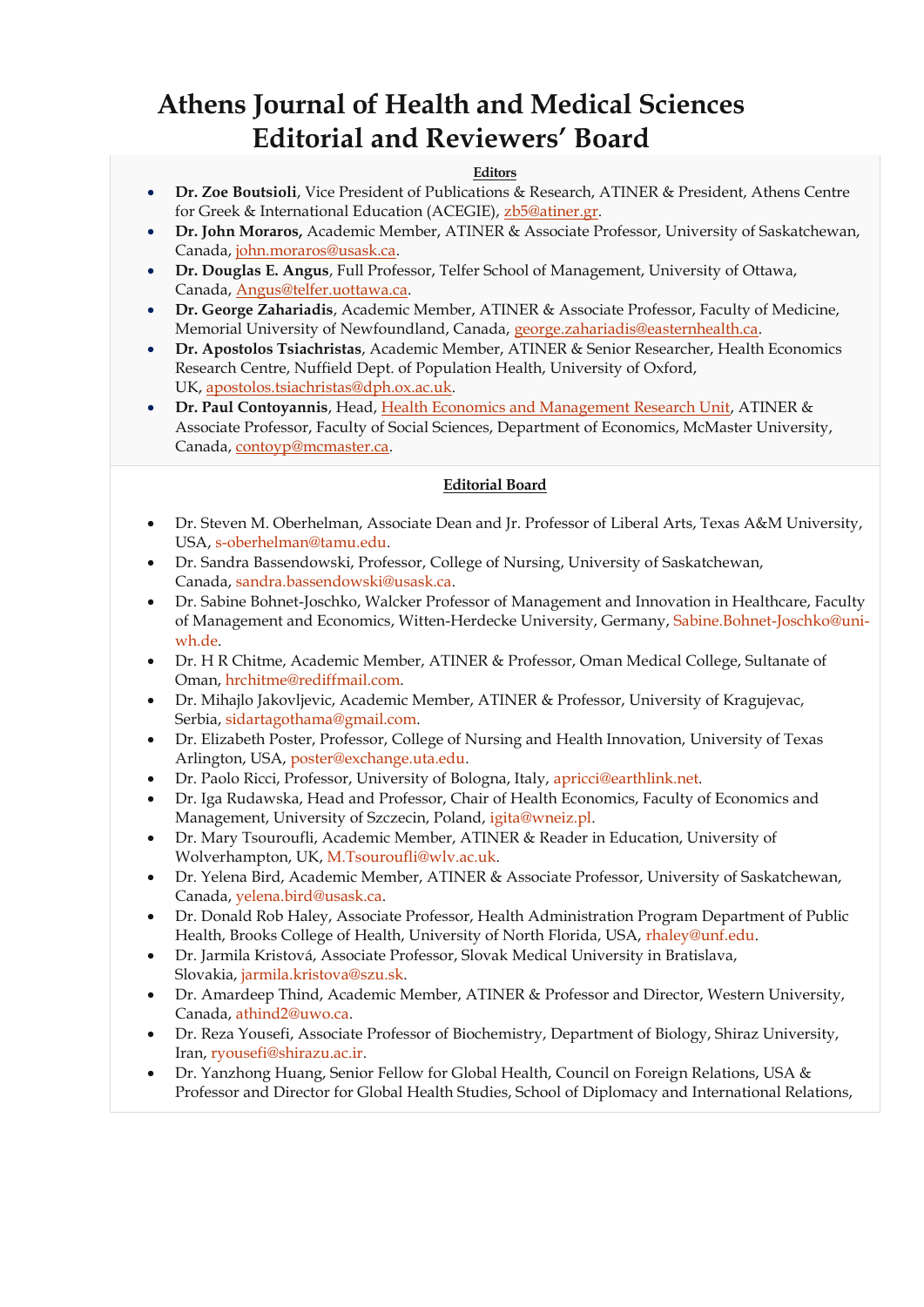## **Athens Journal of Health and Medical Sciences Editorial and Reviewers' Board**

#### **Editors**

- **Dr. Zoe Boutsioli**, Vice President of Publications & Research, ATINER & President, Athens Centre for Greek & International Education (ACEGIE), [zb5@atiner.gr.](mailto:zb5@atiner.gr)
- **Dr. John Moraros,** Academic Member, ATINER & Associate Professor, University of Saskatchewan, Canada, [john.moraros@usask.ca.](mailto:john.moraros@usask.ca)
- **Dr. Douglas E. Angus**, Full Professor, Telfer School of Management, University of Ottawa, Canada, [Angus@telfer.uottawa.ca.](mailto:Angus@telfer.uottawa.ca)
- **Dr. George Zahariadis**, Academic Member, ATINER & Associate Professor, Faculty of Medicine, Memorial University of Newfoundland, Canada, [george.zahariadis@easternhealth.ca.](mailto:george.zahariadis@easternhealth.ca)
- **Dr. Apostolos Tsiachristas**, Academic Member, ATINER & Senior Researcher, Health Economics Research Centre, Nuffield Dept. of Population Health, University of Oxford, UK, [apostolos.tsiachristas@dph.ox.ac.uk.](mailto:apostolos.tsiachristas@dph.ox.ac.uk)
- **Dr. Paul Contoyannis**, Head, [Health Economics and Management Research Unit,](http://www.atiner.gr/HEALTH-UNIT.htm) ATINER & Associate Professor, Faculty of Social Sciences, Department of Economics, McMaster University, Canada, [contoyp@mcmaster.ca.](mailto:contoyp@mcmaster.ca)

### **Editorial Board**

- Dr. Steven M. Oberhelman, Associate Dean and Jr. Professor of Liberal Arts, Texas A&M University, USA, [s-oberhelman@tamu.edu.](mailto:s-oberhelman@tamu.edu)
- Dr. Sandra Bassendowski, Professor, College of Nursing, University of Saskatchewan, Canada, [sandra.bassendowski@usask.ca.](mailto:sandra.bassendowski@usask.ca)
- Dr. Sabine Bohnet-Joschko, Walcker Professor of Management and Innovation in Healthcare, Faculty of Management and Economics, Witten-Herdecke University, Germany, [Sabine.Bohnet-Joschko@uni](mailto:Sabine.Bohnet-Joschko@uni-wh.de)[wh.de.](mailto:Sabine.Bohnet-Joschko@uni-wh.de)
- Dr. H R Chitme, Academic Member, ATINER & Professor, Oman Medical College, Sultanate of Oman, [hrchitme@rediffmail.com.](mailto:hrchitme@rediffmail.com)
- Dr. Mihajlo Jakovljevic, Academic Member, ATINER & Professor, University of Kragujevac, Serbia, [sidartagothama@gmail.com.](mailto:sidartagothama@gmail.com)
- Dr. Elizabeth Poster, Professor, College of Nursing and Health Innovation, University of Texas Arlington, USA, [poster@exchange.uta.edu.](mailto:poster@exchange.uta.edu)
- Dr. Paolo Ricci, Professor, University of Bologna, Italy, [apricci@earthlink.net.](mailto:apricci@earthlink.net)
- Dr. Iga Rudawska, Head and Professor, Chair of Health Economics, Faculty of Economics and Management, University of Szczecin, Poland, [igita@wneiz.pl.](mailto:igita@wneiz.pl)
- Dr. Mary Tsouroufli, Academic Member, ATINER & Reader in Education, University of Wolverhampton, UK, [M.Tsouroufli@wlv.ac.uk.](mailto:M.Tsouroufli@wlv.ac.uk)
- Dr. Yelena Bird, Academic Member, ATINER & Associate Professor, University of Saskatchewan, Canada, [yelena.bird@usask.ca.](mailto:yelena.bird@usask.ca)
- Dr. Donald Rob Haley, Associate Professor, Health Administration Program Department of Public Health, Brooks College of Health, University of North Florida, USA, [rhaley@unf.edu.](mailto:rhaley@unf.edu)
- Dr. Jarmila Kristová, Associate Professor, Slovak Medical University in Bratislava, Slovakia, [jarmila.kristova@szu.sk.](mailto:jarmila.kristova@szu.sk)
- Dr. Amardeep Thind, Academic Member, ATINER & Professor and Director, Western University, Canada, [athind2@uwo.ca.](mailto:athind2@uwo.ca)
- Dr. Reza Yousefi, Associate Professor of Biochemistry, Department of Biology, Shiraz University, Iran, [ryousefi@shirazu.ac.ir.](mailto:ryousefi@shirazu.ac.ir)
- Dr. Yanzhong Huang, Senior Fellow for Global Health, Council on Foreign Relations, USA & Professor and Director for Global Health Studies, School of Diplomacy and International Relations,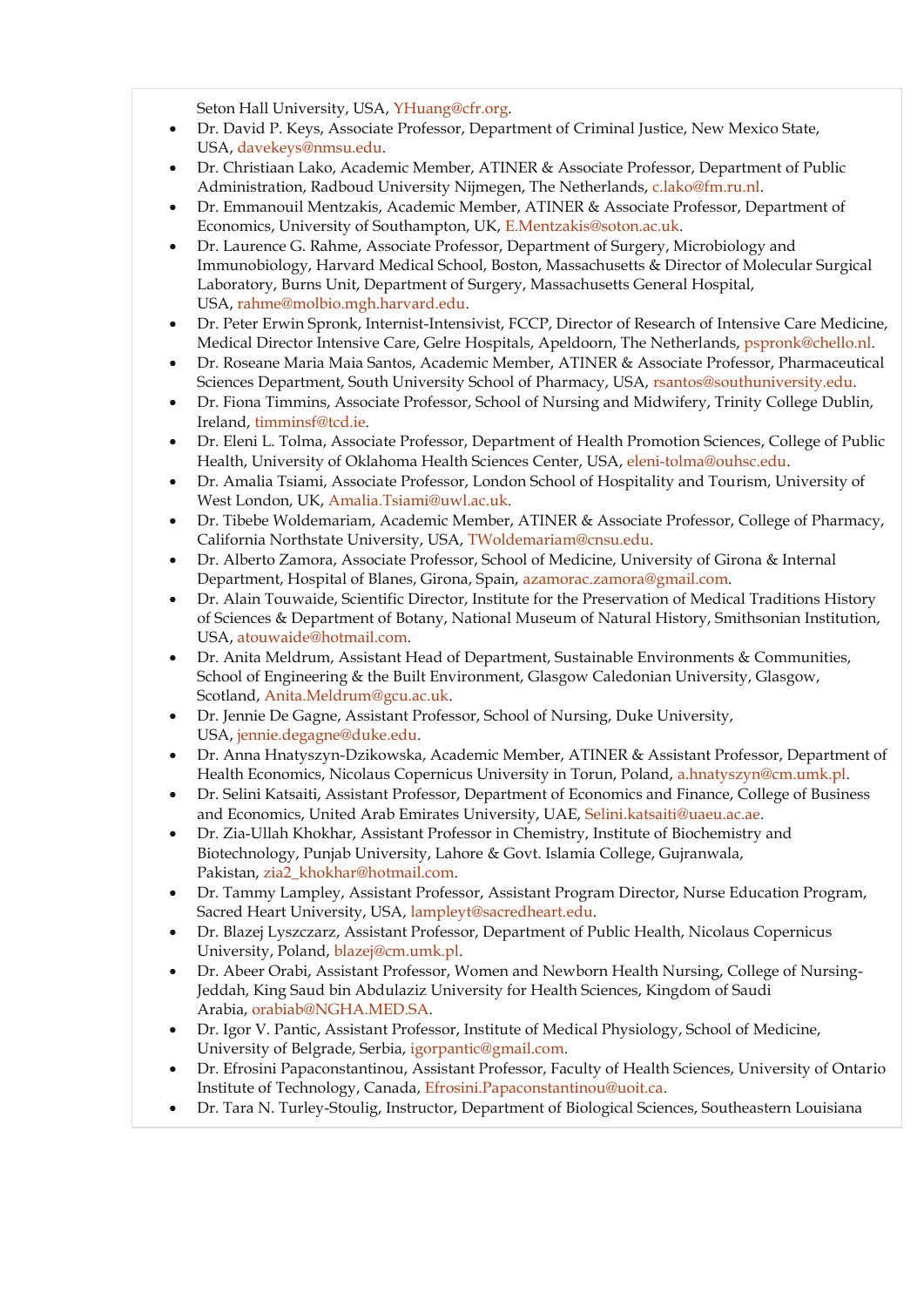Seton Hall University, USA, [YHuang@cfr.org.](mailto:YHuang@cfr.org)

- Dr. David P. Keys, Associate Professor, Department of Criminal Justice, New Mexico State, USA, [davekeys@nmsu.edu.](mailto:davekeys@nmsu.edu)
- Dr. Christiaan Lako, Academic Member, ATINER & Associate Professor, Department of Public Administration, Radboud University Nijmegen, The Netherlands, [c.lako@fm.ru.nl.](mailto:c.lako@fm.ru.nl)
- Dr. Emmanouil Mentzakis, Academic Member, ATINER & Associate Professor, Department of Economics, University of Southampton, UK, [E.Mentzakis@soton.ac.uk.](mailto:E.Mentzakis@soton.ac.uk)
- Dr. Laurence G. Rahme, Associate Professor, Department of Surgery, Microbiology and Immunobiology, Harvard Medical School, Boston, Massachusetts & Director of Molecular Surgical Laboratory, Burns Unit, Department of Surgery, Massachusetts General Hospital, USA, [rahme@molbio.mgh.harvard.edu.](mailto:rahme@molbio.mgh.harvard.edu)
- Dr. Peter Erwin Spronk, Internist-Intensivist, FCCP, Director of Research of Intensive Care Medicine, Medical Director Intensive Care, Gelre Hospitals, Apeldoorn, The Netherlands, [pspronk@chello.nl.](mailto:pspronk@chello.nl)
- Dr. Roseane Maria Maia Santos, Academic Member, ATINER & Associate Professor, Pharmaceutical Sciences Department, South University School of Pharmacy, USA, [rsantos@southuniversity.edu.](mailto:rsantos@southuniversity.edu)
- Dr. Fiona Timmins, Associate Professor, School of Nursing and Midwifery, Trinity College Dublin, Ireland, [timminsf@tcd.ie.](mailto:timminsf@tcd.ie)
- Dr. Eleni L. Tolma, Associate Professor, Department of Health Promotion Sciences, College of Public Health, University of Oklahoma Health Sciences Center, USA, [eleni-tolma@ouhsc.edu.](mailto:eleni-tolma@ouhsc.edu)
- Dr. Amalia Tsiami, Associate Professor, London School of Hospitality and Tourism, University of West London, UK, [Amalia.Tsiami@uwl.ac.uk.](mailto:Amalia.Tsiami@uwl.ac.uk)
- Dr. Tibebe Woldemariam, Academic Member, ATINER & Associate Professor, College of Pharmacy, California Northstate University, USA, [TWoldemariam@cnsu.edu.](mailto:TWoldemariam@cnsu.edu)
- Dr. Alberto Zamora, Associate Professor, School of Medicine, University of Girona & Internal Department, Hospital of Blanes, Girona, Spain, [azamorac.zamora@gmail.com.](mailto:azamorac.zamora@gmail.com)
- Dr. Alain Touwaide, Scientific Director, Institute for the Preservation of Medical Traditions History of Sciences & Department of Botany, National Museum of Natural History, Smithsonian Institution, USA, [atouwaide@hotmail.com.](mailto:atouwaide@hotmail.com)
- Dr. Anita Meldrum, Assistant Head of Department, Sustainable Environments & Communities, School of Engineering & the Built Environment, Glasgow Caledonian University, Glasgow, Scotland, [Anita.Meldrum@gcu.ac.uk.](mailto:Anita.Meldrum@gcu.ac.uk)
- Dr. Jennie De Gagne, Assistant Professor, School of Nursing, Duke University, USA, [jennie.degagne@duke.edu.](mailto:jennie.degagne@duke.edu)
- Dr. Anna Hnatyszyn-Dzikowska, Academic Member, ATINER & Assistant Professor, Department of Health Economics, Nicolaus Copernicus University in Torun, Poland, [a.hnatyszyn@cm.umk.pl.](mailto:a.hnatyszyn@cm.umk.pl)
- Dr. Selini Katsaiti, Assistant Professor, Department of Economics and Finance, College of Business and Economics, United Arab Emirates University, UAE, [Selini.katsaiti@uaeu.ac.ae.](mailto:Selini.katsaiti@uaeu.ac.ae)
- Dr. Zia-Ullah Khokhar, Assistant Professor in Chemistry, Institute of Biochemistry and Biotechnology, Punjab University, Lahore & Govt. Islamia College, Gujranwala, Pakistan, [zia2\\_khokhar@hotmail.com.](mailto:zia2_khokhar@hotmail.com)
- Dr. Tammy Lampley, Assistant Professor, Assistant Program Director, Nurse Education Program, Sacred Heart University, USA, [lampleyt@sacredheart.edu.](mailto:lampleyt@sacredheart.edu)
- Dr. Blazej Lyszczarz, Assistant Professor, Department of Public Health, Nicolaus Copernicus University, Poland, [blazej@cm.umk.pl.](mailto:blazej@cm.umk.pl)
- Dr. Abeer Orabi, Assistant Professor, Women and Newborn Health Nursing, College of Nursing-Jeddah, King Saud bin Abdulaziz University for Health Sciences, Kingdom of Saudi Arabia, [orabiab@NGHA.MED.SA.](mailto:orabiab@NGHA.MED.SA)
- Dr. Igor V. Pantic, Assistant Professor, Institute of Medical Physiology, School of Medicine, University of Belgrade, Serbia, [igorpantic@gmail.com.](mailto:igorpantic@gmail.com)
- Dr. Efrosini Papaconstantinou, Assistant Professor, Faculty of Health Sciences, University of Ontario Institute of Technology, Canada, [Efrosini.Papaconstantinou@uoit.ca.](mailto:Efrosini.Papaconstantinou@uoit.ca)
- Dr. Tara N. Turley-Stoulig, Instructor, Department of Biological Sciences, Southeastern Louisiana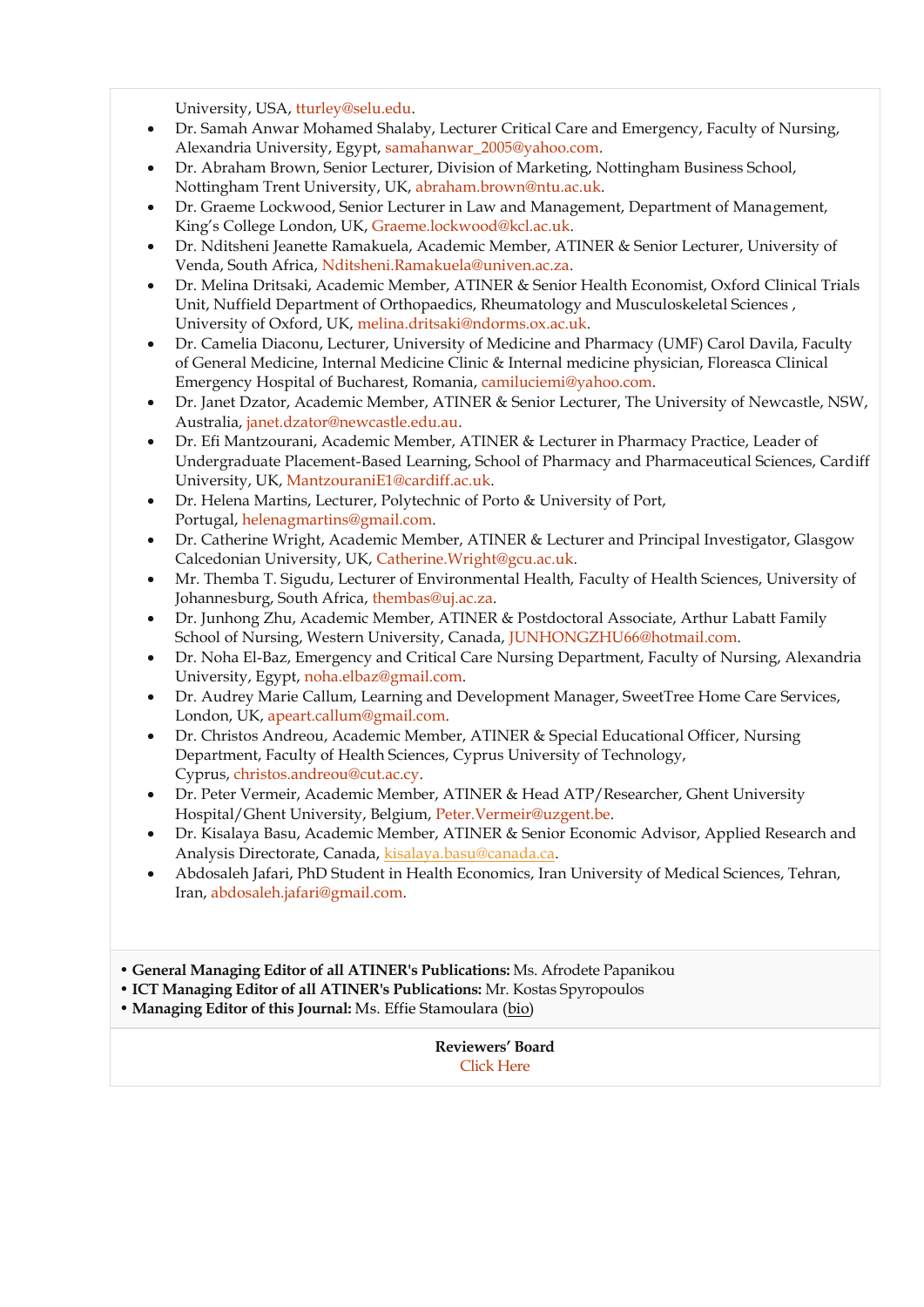University, USA, [tturley@selu.edu.](mailto:tturley@selu.edu)

- Dr. Samah Anwar Mohamed Shalaby, Lecturer Critical Care and Emergency, Faculty of Nursing, Alexandria University, Egypt, [samahanwar\\_2005@yahoo.com.](mailto:samahanwar_2005@yahoo.com)
- Dr. Abraham Brown, Senior Lecturer, Division of Marketing, Nottingham Business School, Nottingham Trent University, UK, [abraham.brown@ntu.ac.uk.](mailto:abraham.brown@ntu.ac.uk)
- Dr. Graeme Lockwood, Senior Lecturer in Law and Management, Department of Management, King's College London, UK, [Graeme.lockwood@kcl.ac.uk.](mailto:Graeme.lockwood@kcl.ac.uk)
- Dr. Nditsheni Jeanette Ramakuela, Academic Member, ATINER & Senior Lecturer, University of Venda, South Africa, [Nditsheni.Ramakuela@univen.ac.za.](mailto:Nditsheni.Ramakuela@univen.ac.za)
- Dr. Melina Dritsaki, Academic Member, ATINER & Senior Health Economist, Oxford Clinical Trials Unit, Nuffield Department of Orthopaedics, Rheumatology and Musculoskeletal Sciences , University of Oxford, UK, [melina.dritsaki@ndorms.ox.ac.uk.](mailto:melina.dritsaki@ndorms.ox.ac.uk)
- Dr. Camelia Diaconu, Lecturer, University of Medicine and Pharmacy (UMF) Carol Davila, Faculty of General Medicine, Internal Medicine Clinic & Internal medicine physician, Floreasca Clinical Emergency Hospital of Bucharest, Romania, [camiluciemi@yahoo.com.](mailto:camiluciemi@yahoo.com)
- Dr. Janet Dzator, Academic Member, ATINER & Senior Lecturer, The University of Newcastle, NSW, Australia, [janet.dzator@newcastle.edu.au.](mailto:janet.dzator@newcastle.edu.au)
- Dr. Efi Mantzourani, Academic Member, ATINER & Lecturer in Pharmacy Practice, Leader of Undergraduate Placement-Based Learning, School of Pharmacy and Pharmaceutical Sciences, Cardiff University, UK, [MantzouraniE1@cardiff.ac.uk.](mailto:MantzouraniE1@cardiff.ac.uk)
- Dr. Helena Martins, Lecturer, Polytechnic of Porto & University of Port, Portugal, [helenagmartins@gmail.com.](mailto:helenagmartins@gmail.com)
- Dr. Catherine Wright, Academic Member, ATINER & Lecturer and Principal Investigator, Glasgow Calcedonian University, UK, [Catherine.Wright@gcu.ac.uk.](mailto:Catherine.Wright@gcu.ac.uk)
- Mr. Themba T. Sigudu, Lecturer of Environmental Health, Faculty of Health Sciences, University of Johannesburg, South Africa, [thembas@uj.ac.za.](mailto:thembas@uj.ac.za)
- Dr. Junhong Zhu, Academic Member, ATINER & Postdoctoral Associate, Arthur Labatt Family School of Nursing, Western University, Canada, [JUNHONGZHU66@hotmail.com.](mailto:JUNHONGZHU66@hotmail.com)
- Dr. Noha El-Baz, Emergency and Critical Care Nursing Department, Faculty of Nursing, Alexandria University, Egypt, [noha.elbaz@gmail.com.](mailto:noha.elbaz@gmail.com)
- Dr. Audrey Marie Callum, Learning and Development Manager, SweetTree Home Care Services, London, UK, [apeart.callum@gmail.com.](mailto:apeart.callum@gmail.com)
- Dr. Christos Andreou, Academic Member, ATINER & Special Educational Officer, Nursing Department, Faculty of Health Sciences, Cyprus University of Technology, Cyprus, [christos.andreou@cut.ac.cy.](mailto:christos.andreou@cut.ac.cy)
- Dr. Peter Vermeir, Academic Member, ATINER & Head ATP/Researcher, Ghent University Hospital/Ghent University, Belgium, [Peter.Vermeir@uzgent.be.](mailto:Peter.Vermeir@uzgent.be)
- Dr. Kisalaya Basu, Academic Member, ATINER & Senior Economic Advisor, Applied Research and Analysis Directorate, Canada, [kisalaya.basu@canada.ca.](mailto:kisalaya.basu@canada.ca)
- Abdosaleh Jafari, PhD Student in Health Economics, Iran University of Medical Sciences, Tehran, Iran, [abdosaleh.jafari@gmail.com.](mailto:abdosaleh.jafari@gmail.com)
- **General Managing Editor of all ATINER's Publications:** Ms. Afrodete Papanikou
- **ICT Managing Editor of all ATINER's Publications:** Mr. Kostas Spyropoulos
- **Managing Editor of this Journal:** Ms. Effie Stamoulara [\(bio\)](https://www.atiner.gr/bio/Stamoulara.pdf)

**Reviewers' Board** [Click Here](http://www.athensjournals.gr/ajhrb)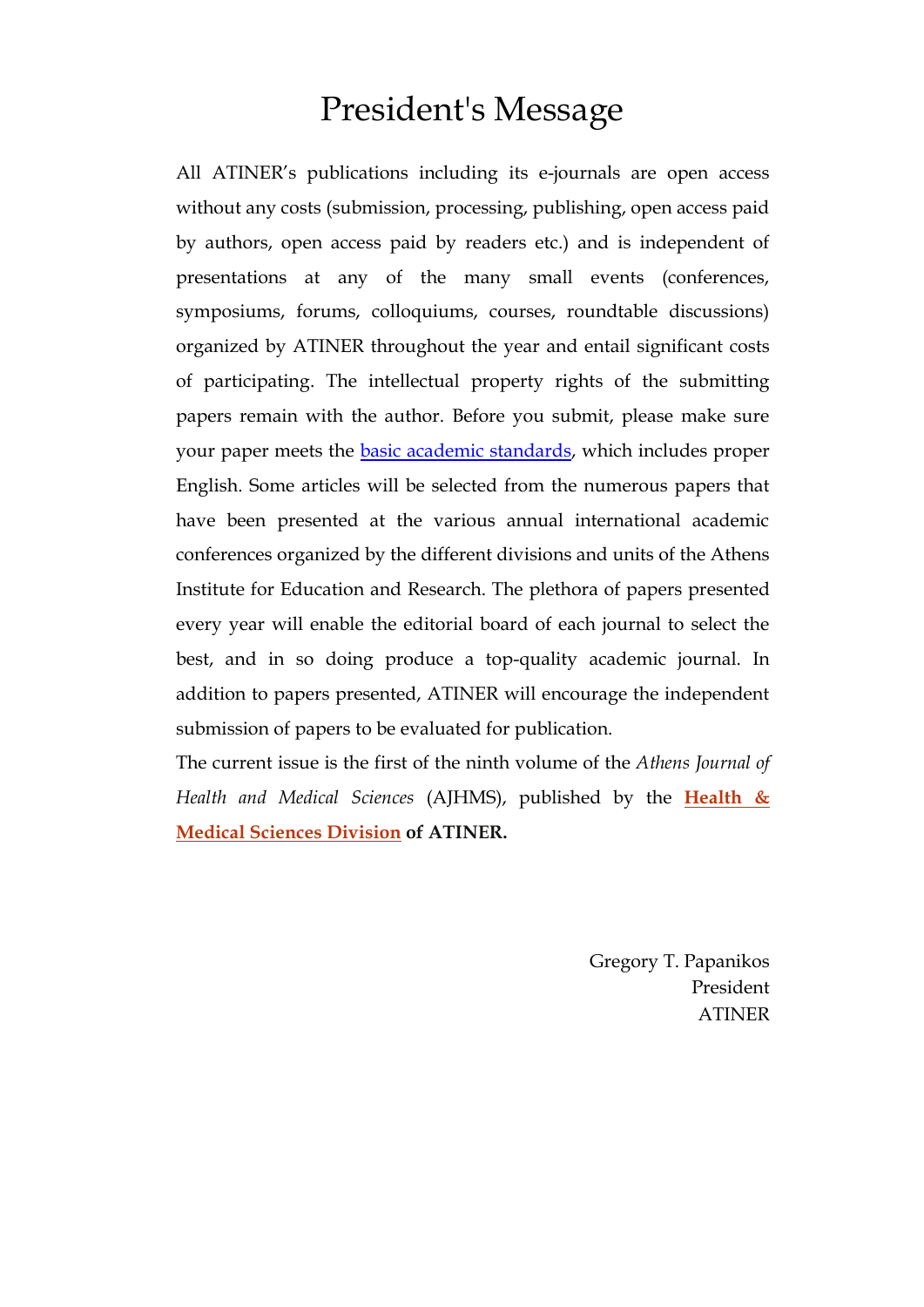## President's Message

All ATINER's publications including its e-journals are open access without any costs (submission, processing, publishing, open access paid by authors, open access paid by readers etc.) and is independent of presentations at any of the many small events (conferences, symposiums, forums, colloquiums, courses, roundtable discussions) organized by ATINER throughout the year and entail significant costs of participating. The intellectual property rights of the submitting papers remain with the author. Before you submit, please make sure your paper meets the [basic academic standards,](https://www.athensjournals.gr/Standards.pdf) which includes proper English. Some articles will be selected from the numerous papers that have been presented at the various annual international academic conferences organized by the different divisions and units of the Athens Institute for Education and Research. The plethora of papers presented every year will enable the editorial board of each journal to select the best, and in so doing produce a top-quality academic journal. In addition to papers presented, ATINER will encourage the independent submission of papers to be evaluated for publication.

The current issue is the first of the ninth volume of the *Athens Journal of Health and Medical Sciences* (AJHMS), published by the **[Health &](http://atiner.gr/hsrd)  [Medical Sciences Division](http://atiner.gr/hsrd) of ATINER.**

> Gregory T. Papanikos President ATINER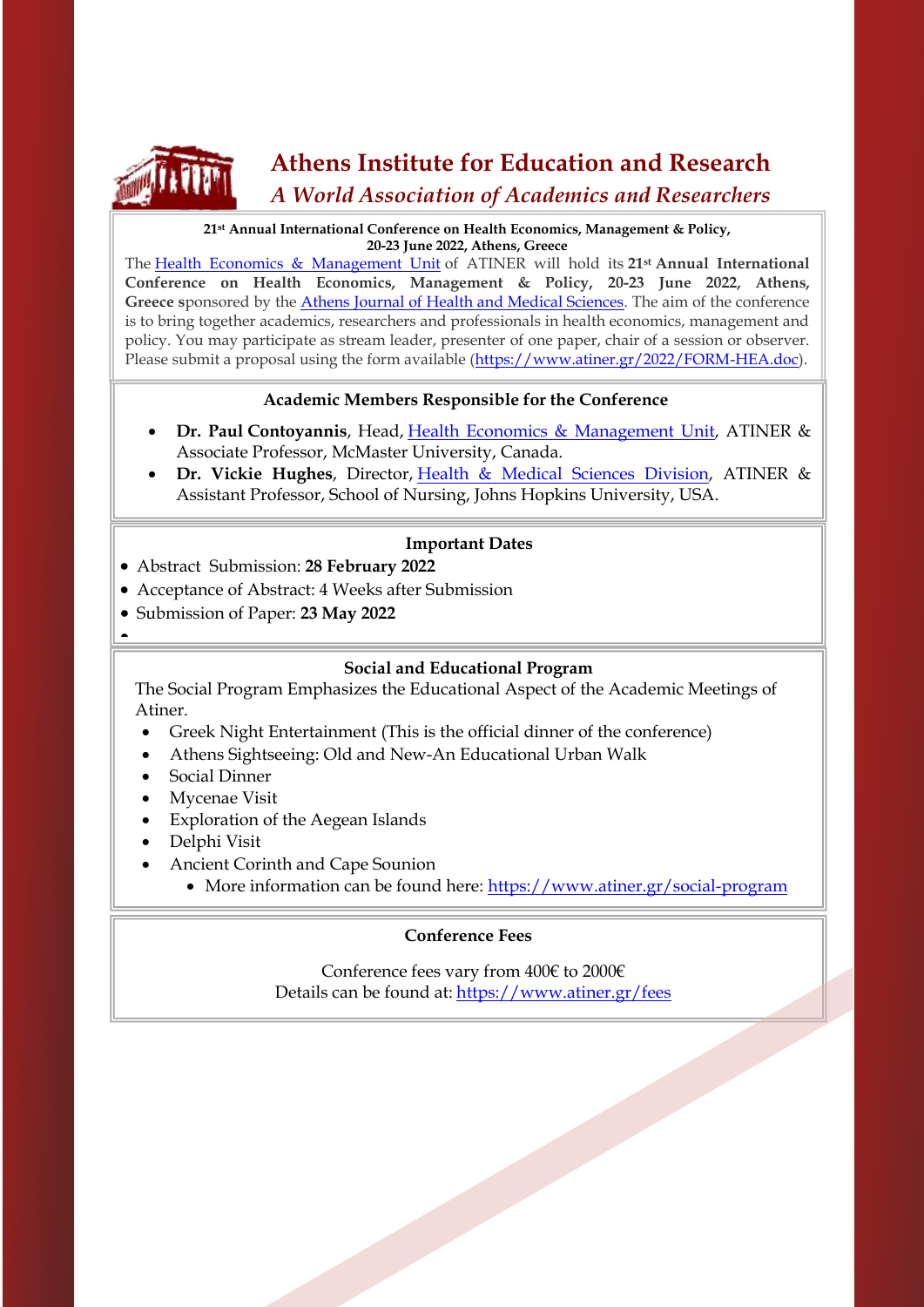

## **Athens Institute for Education and Research**

### *A World Association of Academics and Researchers*

#### **21st Annual International Conference on Health Economics, Management & Policy, 20-23 June 2022, Athens, Greece**

The [Health Economics & Management Unit](http://www.atiner.gr/HEALTH-UNIT.htm) of ATINER will hold its **21st Annual International Conference on Health Economics, Management & Policy, 20-23 June 2022, Athens,**  Greece sponsored by the **Athens Journal of Health and Medical Sciences**. The aim of the conference is to bring together academics, researchers and professionals in health economics, management and policy. You may participate as stream leader, presenter of one paper, chair of a session or observer. Please submit a proposal using the form available [\(https://www.atiner.gr/2022/FORM-HEA.doc\)](https://www.atiner.gr/2022/FORM-HEA.doc).

### **Academic Members Responsible for the Conference**

- **Dr. Paul Contoyannis**, Head, Health Economics & [Management](http://www.atiner.gr/HEALTH-UNIT.htm) Unit, ATINER & Associate Professor, McMaster University, Canada.
- **Dr. Vickie Hughes**, Director, Health & Medical Sciences [Division,](https://www.atiner.gr/hsrd) ATINER & Assistant Professor, School of Nursing, Johns Hopkins University, USA.

### **Important Dates**

- Abstract Submission: **28 February 2022**
- Acceptance of Abstract: 4 Weeks after Submission
- Submission of Paper: **23 May 2022**
- $\overline{\phantom{0}}$

### **Social and Educational Program**

The Social Program Emphasizes the Educational Aspect of the Academic Meetings of Atiner.

- Greek Night Entertainment (This is the official dinner of the conference)
- Athens Sightseeing: Old and New-An Educational Urban Walk
- Social Dinner
- Mycenae Visit
- Exploration of the Aegean Islands
- Delphi Visit
- Ancient Corinth and Cape Sounion
	- More information can be found here:<https://www.atiner.gr/social-program>

### **Conference Fees**

Conference fees vary from 400€ to 2000€ Details can be found at: <https://www.atiner.gr/fees>